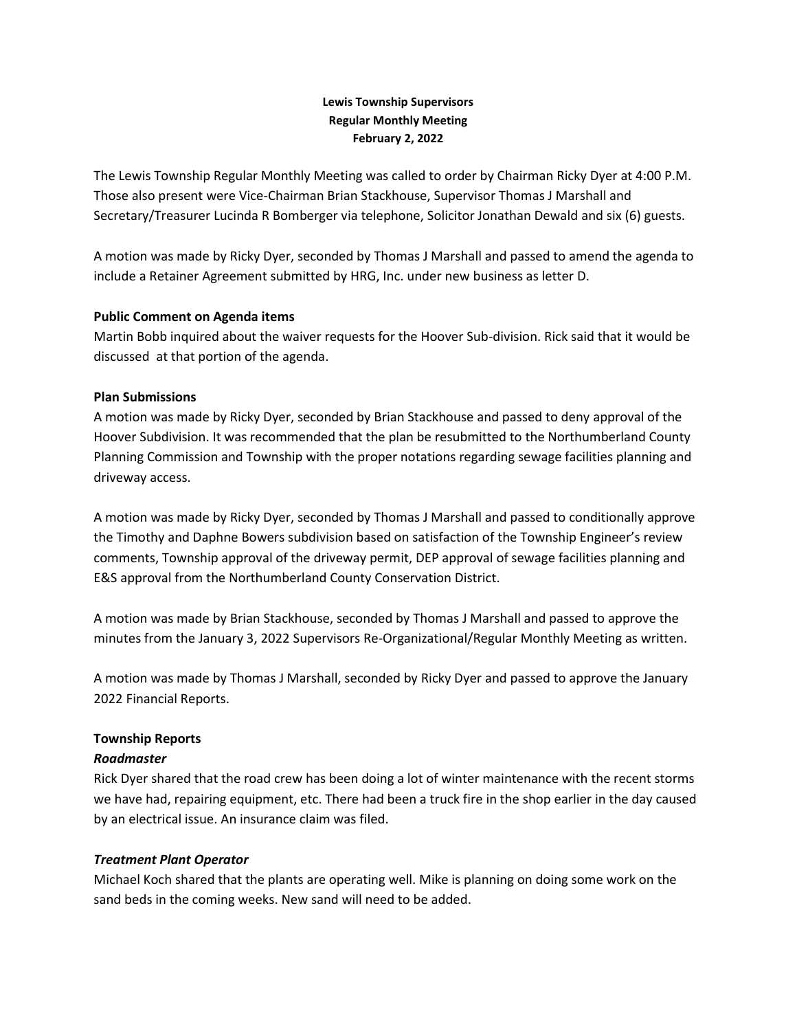## **Lewis Township Supervisors Regular Monthly Meeting February 2, 2022**

The Lewis Township Regular Monthly Meeting was called to order by Chairman Ricky Dyer at 4:00 P.M. Those also present were Vice-Chairman Brian Stackhouse, Supervisor Thomas J Marshall and Secretary/Treasurer Lucinda R Bomberger via telephone, Solicitor Jonathan Dewald and six (6) guests.

A motion was made by Ricky Dyer, seconded by Thomas J Marshall and passed to amend the agenda to include a Retainer Agreement submitted by HRG, Inc. under new business as letter D.

### **Public Comment on Agenda items**

Martin Bobb inquired about the waiver requests for the Hoover Sub-division. Rick said that it would be discussed at that portion of the agenda.

### **Plan Submissions**

A motion was made by Ricky Dyer, seconded by Brian Stackhouse and passed to deny approval of the Hoover Subdivision. It was recommended that the plan be resubmitted to the Northumberland County Planning Commission and Township with the proper notations regarding sewage facilities planning and driveway access.

A motion was made by Ricky Dyer, seconded by Thomas J Marshall and passed to conditionally approve the Timothy and Daphne Bowers subdivision based on satisfaction of the Township Engineer's review comments, Township approval of the driveway permit, DEP approval of sewage facilities planning and E&S approval from the Northumberland County Conservation District.

A motion was made by Brian Stackhouse, seconded by Thomas J Marshall and passed to approve the minutes from the January 3, 2022 Supervisors Re-Organizational/Regular Monthly Meeting as written.

A motion was made by Thomas J Marshall, seconded by Ricky Dyer and passed to approve the January 2022 Financial Reports.

#### **Township Reports**

#### *Roadmaster*

Rick Dyer shared that the road crew has been doing a lot of winter maintenance with the recent storms we have had, repairing equipment, etc. There had been a truck fire in the shop earlier in the day caused by an electrical issue. An insurance claim was filed.

#### *Treatment Plant Operator*

Michael Koch shared that the plants are operating well. Mike is planning on doing some work on the sand beds in the coming weeks. New sand will need to be added.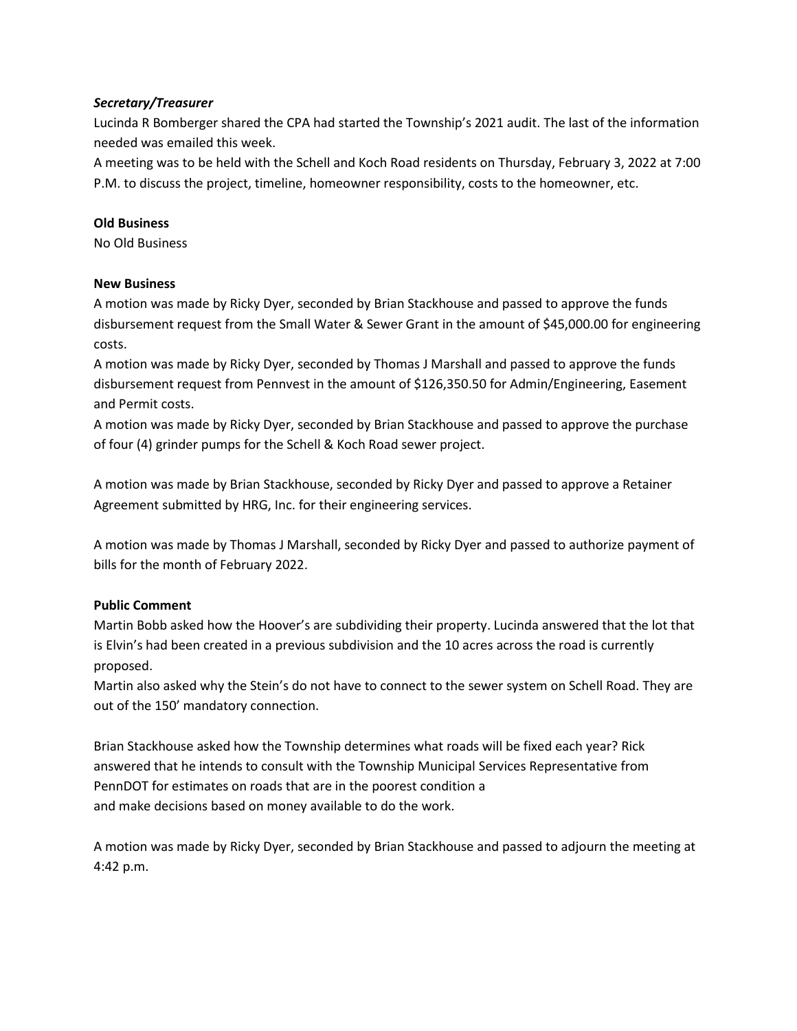## *Secretary/Treasurer*

Lucinda R Bomberger shared the CPA had started the Township's 2021 audit. The last of the information needed was emailed this week.

A meeting was to be held with the Schell and Koch Road residents on Thursday, February 3, 2022 at 7:00 P.M. to discuss the project, timeline, homeowner responsibility, costs to the homeowner, etc.

### **Old Business**

No Old Business

#### **New Business**

A motion was made by Ricky Dyer, seconded by Brian Stackhouse and passed to approve the funds disbursement request from the Small Water & Sewer Grant in the amount of \$45,000.00 for engineering costs.

A motion was made by Ricky Dyer, seconded by Thomas J Marshall and passed to approve the funds disbursement request from Pennvest in the amount of \$126,350.50 for Admin/Engineering, Easement and Permit costs.

A motion was made by Ricky Dyer, seconded by Brian Stackhouse and passed to approve the purchase of four (4) grinder pumps for the Schell & Koch Road sewer project.

A motion was made by Brian Stackhouse, seconded by Ricky Dyer and passed to approve a Retainer Agreement submitted by HRG, Inc. for their engineering services.

A motion was made by Thomas J Marshall, seconded by Ricky Dyer and passed to authorize payment of bills for the month of February 2022.

# **Public Comment**

Martin Bobb asked how the Hoover's are subdividing their property. Lucinda answered that the lot that is Elvin's had been created in a previous subdivision and the 10 acres across the road is currently proposed.

Martin also asked why the Stein's do not have to connect to the sewer system on Schell Road. They are out of the 150' mandatory connection.

Brian Stackhouse asked how the Township determines what roads will be fixed each year? Rick answered that he intends to consult with the Township Municipal Services Representative from PennDOT for estimates on roads that are in the poorest condition a and make decisions based on money available to do the work.

A motion was made by Ricky Dyer, seconded by Brian Stackhouse and passed to adjourn the meeting at 4:42 p.m.